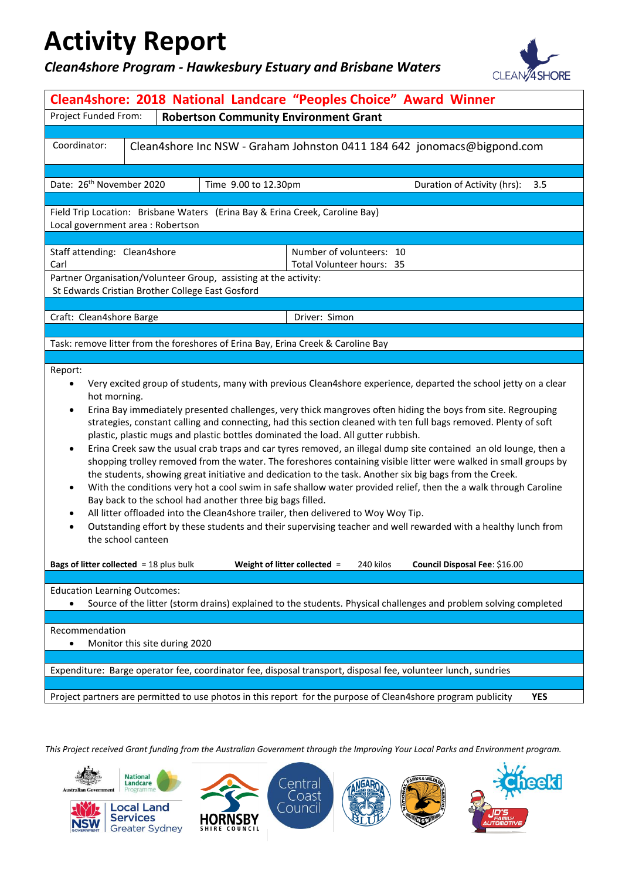### *Clean4shore Program - Hawkesbury Estuary and Brisbane Waters*



| Clean4shore: 2018 National Landcare "Peoples Choice" Award Winner                                                                                                                                                                                                                                                                                                                                                                                                                                                                                                                                                                                                                                                                                                                                                                                                                                                                                                                                                                                                                                                                                                                                                                                                                                          |                                                                                                    |                                                                  |                                                                                  |  |  |
|------------------------------------------------------------------------------------------------------------------------------------------------------------------------------------------------------------------------------------------------------------------------------------------------------------------------------------------------------------------------------------------------------------------------------------------------------------------------------------------------------------------------------------------------------------------------------------------------------------------------------------------------------------------------------------------------------------------------------------------------------------------------------------------------------------------------------------------------------------------------------------------------------------------------------------------------------------------------------------------------------------------------------------------------------------------------------------------------------------------------------------------------------------------------------------------------------------------------------------------------------------------------------------------------------------|----------------------------------------------------------------------------------------------------|------------------------------------------------------------------|----------------------------------------------------------------------------------|--|--|
| Project Funded From:<br><b>Robertson Community Environment Grant</b>                                                                                                                                                                                                                                                                                                                                                                                                                                                                                                                                                                                                                                                                                                                                                                                                                                                                                                                                                                                                                                                                                                                                                                                                                                       |                                                                                                    |                                                                  |                                                                                  |  |  |
|                                                                                                                                                                                                                                                                                                                                                                                                                                                                                                                                                                                                                                                                                                                                                                                                                                                                                                                                                                                                                                                                                                                                                                                                                                                                                                            |                                                                                                    |                                                                  |                                                                                  |  |  |
| Coordinator:<br>Clean4shore Inc NSW - Graham Johnston 0411 184 642 jonomacs@bigpond.com                                                                                                                                                                                                                                                                                                                                                                                                                                                                                                                                                                                                                                                                                                                                                                                                                                                                                                                                                                                                                                                                                                                                                                                                                    |                                                                                                    |                                                                  |                                                                                  |  |  |
|                                                                                                                                                                                                                                                                                                                                                                                                                                                                                                                                                                                                                                                                                                                                                                                                                                                                                                                                                                                                                                                                                                                                                                                                                                                                                                            |                                                                                                    |                                                                  |                                                                                  |  |  |
|                                                                                                                                                                                                                                                                                                                                                                                                                                                                                                                                                                                                                                                                                                                                                                                                                                                                                                                                                                                                                                                                                                                                                                                                                                                                                                            | Date: 26 <sup>th</sup> November 2020<br>Time 9.00 to 12.30pm<br>Duration of Activity (hrs):<br>3.5 |                                                                  |                                                                                  |  |  |
| Field Trip Location: Brisbane Waters (Erina Bay & Erina Creek, Caroline Bay)<br>Local government area : Robertson                                                                                                                                                                                                                                                                                                                                                                                                                                                                                                                                                                                                                                                                                                                                                                                                                                                                                                                                                                                                                                                                                                                                                                                          |                                                                                                    |                                                                  |                                                                                  |  |  |
| Staff attending: Clean4shore                                                                                                                                                                                                                                                                                                                                                                                                                                                                                                                                                                                                                                                                                                                                                                                                                                                                                                                                                                                                                                                                                                                                                                                                                                                                               |                                                                                                    |                                                                  | Number of volunteers: 10                                                         |  |  |
| Carl                                                                                                                                                                                                                                                                                                                                                                                                                                                                                                                                                                                                                                                                                                                                                                                                                                                                                                                                                                                                                                                                                                                                                                                                                                                                                                       |                                                                                                    |                                                                  | Total Volunteer hours: 35                                                        |  |  |
| St Edwards Cristian Brother College East Gosford                                                                                                                                                                                                                                                                                                                                                                                                                                                                                                                                                                                                                                                                                                                                                                                                                                                                                                                                                                                                                                                                                                                                                                                                                                                           |                                                                                                    | Partner Organisation/Volunteer Group, assisting at the activity: |                                                                                  |  |  |
|                                                                                                                                                                                                                                                                                                                                                                                                                                                                                                                                                                                                                                                                                                                                                                                                                                                                                                                                                                                                                                                                                                                                                                                                                                                                                                            |                                                                                                    |                                                                  |                                                                                  |  |  |
| Craft: Clean4shore Barge                                                                                                                                                                                                                                                                                                                                                                                                                                                                                                                                                                                                                                                                                                                                                                                                                                                                                                                                                                                                                                                                                                                                                                                                                                                                                   |                                                                                                    |                                                                  | Driver: Simon                                                                    |  |  |
|                                                                                                                                                                                                                                                                                                                                                                                                                                                                                                                                                                                                                                                                                                                                                                                                                                                                                                                                                                                                                                                                                                                                                                                                                                                                                                            |                                                                                                    |                                                                  |                                                                                  |  |  |
|                                                                                                                                                                                                                                                                                                                                                                                                                                                                                                                                                                                                                                                                                                                                                                                                                                                                                                                                                                                                                                                                                                                                                                                                                                                                                                            |                                                                                                    |                                                                  | Task: remove litter from the foreshores of Erina Bay, Erina Creek & Caroline Bay |  |  |
| Report:<br>Very excited group of students, many with previous Clean4shore experience, departed the school jetty on a clear<br>$\bullet$<br>hot morning.<br>Erina Bay immediately presented challenges, very thick mangroves often hiding the boys from site. Regrouping<br>$\bullet$<br>strategies, constant calling and connecting, had this section cleaned with ten full bags removed. Plenty of soft<br>plastic, plastic mugs and plastic bottles dominated the load. All gutter rubbish.<br>Erina Creek saw the usual crab traps and car tyres removed, an illegal dump site contained an old lounge, then a<br>$\bullet$<br>shopping trolley removed from the water. The foreshores containing visible litter were walked in small groups by<br>the students, showing great initiative and dedication to the task. Another six big bags from the Creek.<br>With the conditions very hot a cool swim in safe shallow water provided relief, then the a walk through Caroline<br>$\bullet$<br>Bay back to the school had another three big bags filled.<br>All litter offloaded into the Clean4shore trailer, then delivered to Woy Woy Tip.<br>٠<br>Outstanding effort by these students and their supervising teacher and well rewarded with a healthy lunch from<br>$\bullet$<br>the school canteen |                                                                                                    |                                                                  |                                                                                  |  |  |
| <b>Bags of litter collected</b> = 18 plus bulk                                                                                                                                                                                                                                                                                                                                                                                                                                                                                                                                                                                                                                                                                                                                                                                                                                                                                                                                                                                                                                                                                                                                                                                                                                                             |                                                                                                    |                                                                  | Weight of litter collected =<br>240 kilos<br>Council Disposal Fee: \$16.00       |  |  |
| <b>Education Learning Outcomes:</b><br>Source of the litter (storm drains) explained to the students. Physical challenges and problem solving completed<br>$\bullet$                                                                                                                                                                                                                                                                                                                                                                                                                                                                                                                                                                                                                                                                                                                                                                                                                                                                                                                                                                                                                                                                                                                                       |                                                                                                    |                                                                  |                                                                                  |  |  |
| Recommendation<br>$\bullet$                                                                                                                                                                                                                                                                                                                                                                                                                                                                                                                                                                                                                                                                                                                                                                                                                                                                                                                                                                                                                                                                                                                                                                                                                                                                                | Monitor this site during 2020                                                                      |                                                                  |                                                                                  |  |  |
| Expenditure: Barge operator fee, coordinator fee, disposal transport, disposal fee, volunteer lunch, sundries                                                                                                                                                                                                                                                                                                                                                                                                                                                                                                                                                                                                                                                                                                                                                                                                                                                                                                                                                                                                                                                                                                                                                                                              |                                                                                                    |                                                                  |                                                                                  |  |  |
| Project partners are permitted to use photos in this report for the purpose of Clean4shore program publicity<br><b>YES</b>                                                                                                                                                                                                                                                                                                                                                                                                                                                                                                                                                                                                                                                                                                                                                                                                                                                                                                                                                                                                                                                                                                                                                                                 |                                                                                                    |                                                                  |                                                                                  |  |  |
|                                                                                                                                                                                                                                                                                                                                                                                                                                                                                                                                                                                                                                                                                                                                                                                                                                                                                                                                                                                                                                                                                                                                                                                                                                                                                                            |                                                                                                    |                                                                  |                                                                                  |  |  |

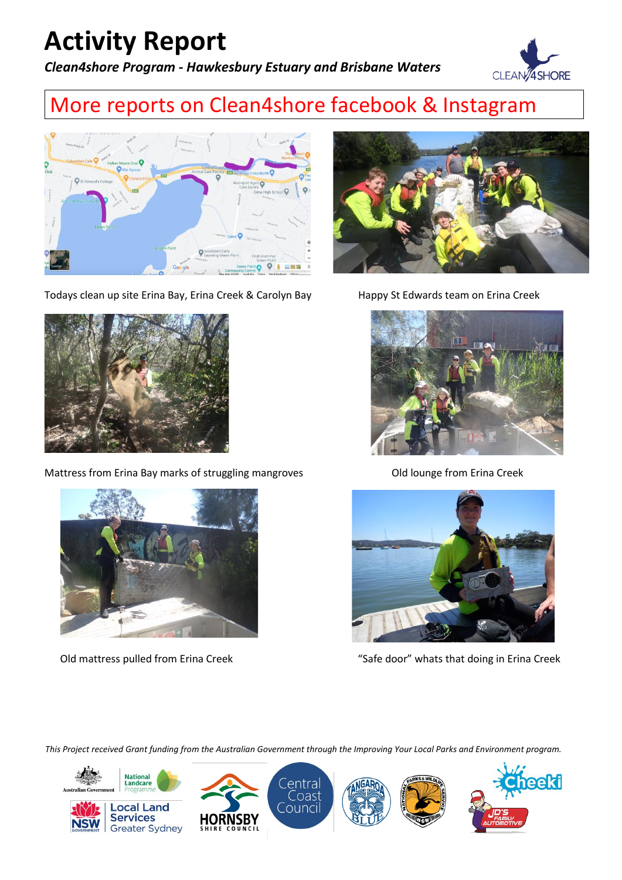*Clean4shore Program - Hawkesbury Estuary and Brisbane Waters*



### More reports on Clean4shore facebook & Instagram



Todays clean up site Erina Bay, Erina Creek & Carolyn Bay Happy St Edwards team on Erina Creek



Mattress from Erina Bay marks of struggling mangroves **Old lounge from Erina Creek** 









Old mattress pulled from Erina Creek "Safe door" whats that doing in Erina Creek

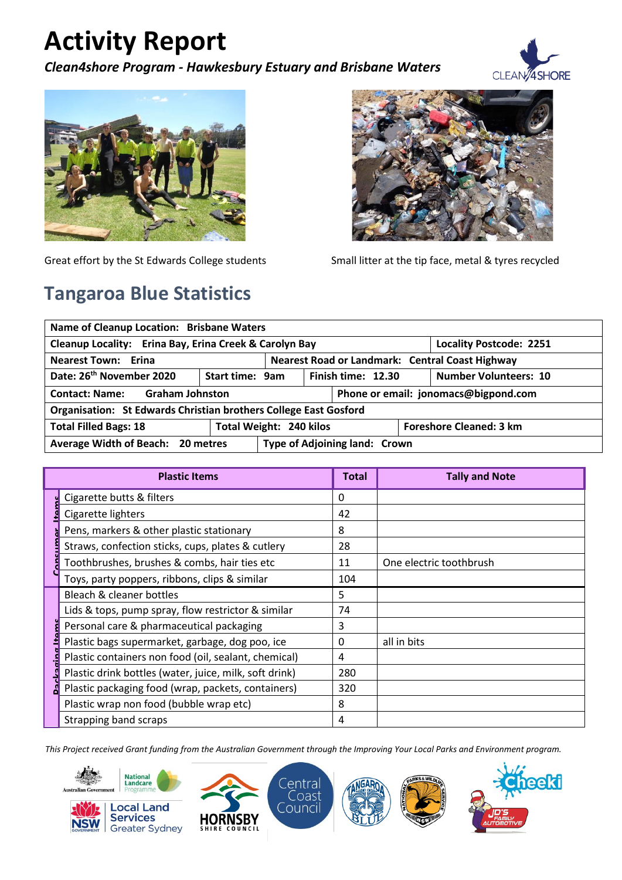*Clean4shore Program - Hawkesbury Estuary and Brisbane Waters*





### **Tangaroa Blue Statistics**



Great effort by the St Edwards College students Small litter at the tip face, metal & tyres recycled

| Name of Cleanup Location: Brisbane Waters                               |  |                                                 |                                      |                                |                              |
|-------------------------------------------------------------------------|--|-------------------------------------------------|--------------------------------------|--------------------------------|------------------------------|
| Cleanup Locality: Erina Bay, Erina Creek & Carolyn Bay                  |  |                                                 |                                      | <b>Locality Postcode: 2251</b> |                              |
| <b>Nearest Town: Erina</b>                                              |  | Nearest Road or Landmark: Central Coast Highway |                                      |                                |                              |
| Date: 26 <sup>th</sup> November 2020<br><b>Start time: 9am</b>          |  | Finish time: 12.30                              |                                      |                                | <b>Number Volunteers: 10</b> |
| <b>Contact: Name: Graham Johnston</b>                                   |  |                                                 | Phone or email: jonomacs@bigpond.com |                                |                              |
| <b>Organisation: St Edwards Christian brothers College East Gosford</b> |  |                                                 |                                      |                                |                              |
| <b>Total Filled Bags: 18</b>                                            |  | Total Weight: 240 kilos                         |                                      | <b>Foreshore Cleaned: 3 km</b> |                              |
| Average Width of Beach: 20 metres                                       |  | Type of Adjoining land: Crown                   |                                      |                                |                              |

|  | <b>Plastic Items</b>                                   | <b>Total</b> | <b>Tally and Note</b>   |
|--|--------------------------------------------------------|--------------|-------------------------|
|  | Cigarette butts & filters                              | 0            |                         |
|  | Cigarette lighters                                     | 42           |                         |
|  | Pens, markers & other plastic stationary               | 8            |                         |
|  | Straws, confection sticks, cups, plates & cutlery      | 28           |                         |
|  | Toothbrushes, brushes & combs, hair ties etc           | 11           | One electric toothbrush |
|  | Toys, party poppers, ribbons, clips & similar          | 104          |                         |
|  | Bleach & cleaner bottles                               | 5.           |                         |
|  | Lids & tops, pump spray, flow restrictor & similar     | 74           |                         |
|  | Personal care & pharmaceutical packaging               | 3            |                         |
|  | Plastic bags supermarket, garbage, dog poo, ice        | 0            | all in bits             |
|  | Plastic containers non food (oil, sealant, chemical)   | 4            |                         |
|  | Plastic drink bottles (water, juice, milk, soft drink) | 280          |                         |
|  | Plastic packaging food (wrap, packets, containers)     | 320          |                         |
|  | Plastic wrap non food (bubble wrap etc)                | 8            |                         |
|  | Strapping band scraps                                  | 4            |                         |

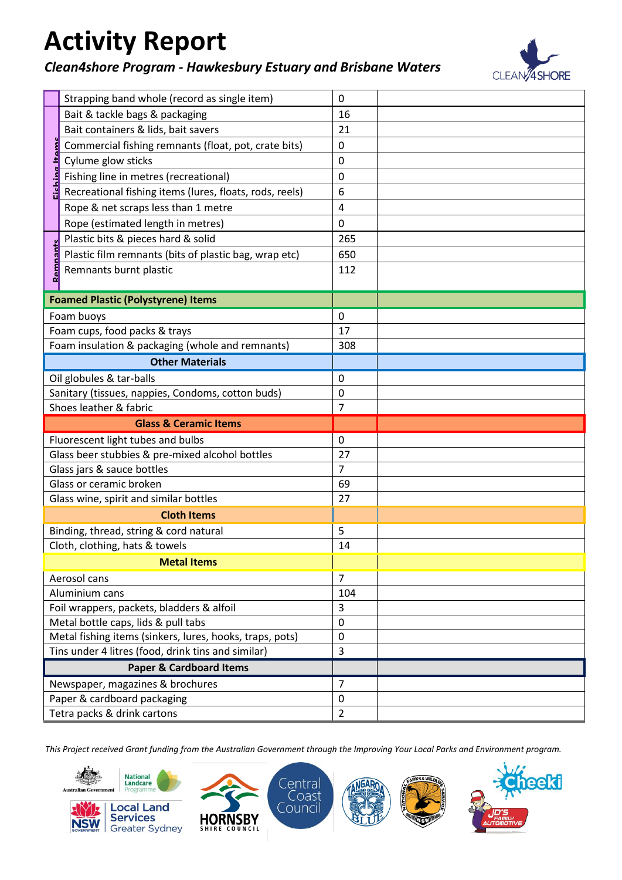### *Clean4shore Program - Hawkesbury Estuary and Brisbane Waters*



**eekt** 

|                                  | Strapping band whole (record as single item)               | 0                             |  |
|----------------------------------|------------------------------------------------------------|-------------------------------|--|
|                                  | Bait & tackle bags & packaging                             | 16                            |  |
|                                  | Bait containers & lids, bait savers                        | 21                            |  |
|                                  | Commercial fishing remnants (float, pot, crate bits)       | $\pmb{0}$                     |  |
|                                  | Cylume glow sticks                                         | 0                             |  |
|                                  | Fishing line in metres (recreational)                      | 0                             |  |
|                                  | Recreational fishing items (lures, floats, rods, reels)    | 6                             |  |
|                                  | Rope & net scraps less than 1 metre                        | 4                             |  |
|                                  | Rope (estimated length in metres)                          | $\mathbf 0$                   |  |
|                                  | Plastic bits & pieces hard & solid                         | 265                           |  |
|                                  | Plastic film remnants (bits of plastic bag, wrap etc)      | 650                           |  |
|                                  | Remnants burnt plastic                                     | 112                           |  |
|                                  |                                                            |                               |  |
|                                  | <b>Foamed Plastic (Polystyrene) Items</b>                  |                               |  |
|                                  | Foam buoys                                                 | $\mathbf 0$                   |  |
|                                  | Foam cups, food packs & trays                              | 17                            |  |
|                                  | Foam insulation & packaging (whole and remnants)           | 308                           |  |
|                                  | <b>Other Materials</b>                                     |                               |  |
|                                  | Oil globules & tar-balls                                   | 0                             |  |
|                                  | Sanitary (tissues, nappies, Condoms, cotton buds)          | 0                             |  |
|                                  | Shoes leather & fabric                                     | $\overline{7}$                |  |
| <b>Glass &amp; Ceramic Items</b> |                                                            |                               |  |
|                                  |                                                            |                               |  |
|                                  | Fluorescent light tubes and bulbs                          | 0                             |  |
|                                  | Glass beer stubbies & pre-mixed alcohol bottles            | 27                            |  |
|                                  | Glass jars & sauce bottles                                 | $\overline{7}$                |  |
|                                  | Glass or ceramic broken                                    | 69                            |  |
|                                  | Glass wine, spirit and similar bottles                     | 27                            |  |
|                                  | <b>Cloth Items</b>                                         |                               |  |
|                                  | Binding, thread, string & cord natural                     | 5                             |  |
|                                  | Cloth, clothing, hats & towels                             | 14                            |  |
|                                  | <b><i>Service Structure Metal Items</i></b>                |                               |  |
|                                  | Aerosol cans                                               | $\overline{7}$                |  |
|                                  | Aluminium cans                                             | 104                           |  |
|                                  | Foil wrappers, packets, bladders & alfoil                  | 3                             |  |
|                                  | Metal bottle caps, lids & pull tabs                        | $\overline{0}$                |  |
|                                  | Metal fishing items (sinkers, lures, hooks, traps, pots)   | $\mathbf 0$                   |  |
|                                  | Tins under 4 litres (food, drink tins and similar)         | 3                             |  |
|                                  | <b>Paper &amp; Cardboard Items</b>                         |                               |  |
|                                  | Newspaper, magazines & brochures                           | 7                             |  |
|                                  | Paper & cardboard packaging<br>Tetra packs & drink cartons | $\mathbf 0$<br>$\overline{2}$ |  |